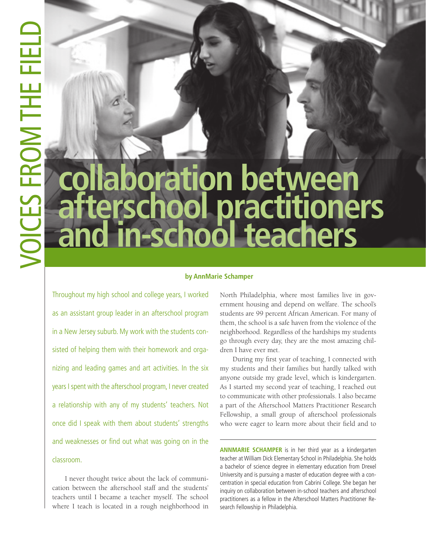# **collaboration between afterschool practitioners**  in-school teachers

#### **by AnnMarie Schamper**

Throughout my high school and college years, I worked as an assistant group leader in an afterschool program in a New Jersey suburb. My work with the students consisted of helping them with their homework and organizing and leading games and art activities. In the six years I spent with the afterschool program, I never created a relationship with any of my students' teachers. Not once did I speak with them about students' strengths and weaknesses or find out what was going on in the classroom.

I never thought twice about the lack of communication between the afterschool staff and the students' teachers until I became a teacher myself. The school where I teach is located in a rough neighborhood in North Philadelphia, where most families live in government housing and depend on welfare. The school's students are 99 percent African American. For many of them, the school is a safe haven from the violence of the neighborhood. Regardless of the hardships my students go through every day, they are the most amazing children I have ever met.

During my first year of teaching, I connected with my students and their families but hardly talked with anyone outside my grade level, which is kindergarten. As I started my second year of teaching, I reached out to communicate with other professionals. I also became a part of the Afterschool Matters Practitioner Research Fellowship, a small group of afterschool professionals who were eager to learn more about their field and to

**ANNMARIE SCHAMPER** is in her third year as a kindergarten teacher at William Dick Elementary School in Philadelphia. She holds a bachelor of science degree in elementary education from Drexel University and is pursuing a master of education degree with a concentration in special education from Cabrini College. She began her inquiry on collaboration between in-school teachers and afterschool practitioners as a fellow in the Afterschool Matters Practitioner Research Fellowship in Philadelphia.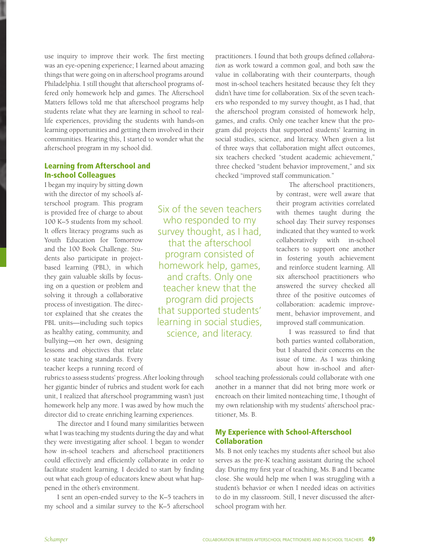use inquiry to improve their work. The first meeting was an eye-opening experience; I learned about amazing things that were going on in afterschool programs around Philadelphia. I still thought that afterschool programs offered only homework help and games. The Afterschool Matters fellows told me that afterschool programs help students relate what they are learning in school to reallife experiences, providing the students with hands-on learning opportunities and getting them involved in their communities. Hearing this, I started to wonder what the afterschool program in my school did.

### Learning from Afterschool and In-school Colleagues

I began my inquiry by sitting down with the director of my school's afterschool program. This program is provided free of charge to about 100 K–5 students from my school. It offers literacy programs such as Youth Education for Tomorrow and the 100 Book Challenge. Students also participate in projectbased learning (PBL), in which they gain valuable skills by focusing on a question or problem and solving it through a collaborative process of investigation. The director explained that she creates the PBL units—including such topics as healthy eating, community, and bullying—on her own, designing lessons and objectives that relate to state teaching standards. Every teacher keeps a running record of

Six of the seven teachers who responded to my survey thought, as I had, that the afterschool program consisted of homework help, games, and crafts. Only one teacher knew that the program did projects that supported students' learning in social studies, science, and literacy.

practitioners. I found that both groups defined *collaboration* as work toward a common goal, and both saw the value in collaborating with their counterparts, though most in-school teachers hesitated because they felt they didn't have time for collaboration. Six of the seven teachers who responded to my survey thought, as I had, that the afterschool program consisted of homework help, games, and crafts. Only one teacher knew that the program did projects that supported students' learning in social studies, science, and literacy. When given a list of three ways that collaboration might affect outcomes, six teachers checked "student academic achievement," three checked "student behavior improvement," and six checked "improved staff communication."

> The afterschool practitioners, by contrast, were well aware that their program activities correlated with themes taught during the school day. Their survey responses indicated that they wanted to work collaboratively with in-school teachers to support one another in fostering youth achievement and reinforce student learning. All six afterschool practitioners who answered the survey checked all three of the positive outcomes of collaboration: academic improvement, behavior improvement, and improved staff communication.

I was reassured to find that both parties wanted collaboration, but I shared their concerns on the issue of time. As I was thinking about how in-school and after-

rubrics to assess students' progress. After looking through her gigantic binder of rubrics and student work for each unit, I realized that afterschool programming wasn't just homework help any more. I was awed by how much the director did to create enriching learning experiences.

The director and I found many similarities between what I was teaching my students during the day and what they were investigating after school. I began to wonder how in-school teachers and afterschool practitioners could effectively and efficiently collaborate in order to facilitate student learning. I decided to start by finding out what each group of educators knew about what happened in the other's environment.

I sent an open-ended survey to the K–5 teachers in my school and a similar survey to the K–5 afterschool school teaching professionals could collaborate with one another in a manner that did not bring more work or encroach on their limited nonteaching time, I thought of my own relationship with my students' afterschool practitioner, Ms. B.

## My Experience with School-Afterschool Collaboration

Ms. B not only teaches my students after school but also serves as the pre-K teaching assistant during the school day. During my first year of teaching, Ms. B and I became close. She would help me when I was struggling with a student's behavior or when I needed ideas on activities to do in my classroom. Still, I never discussed the afterschool program with her.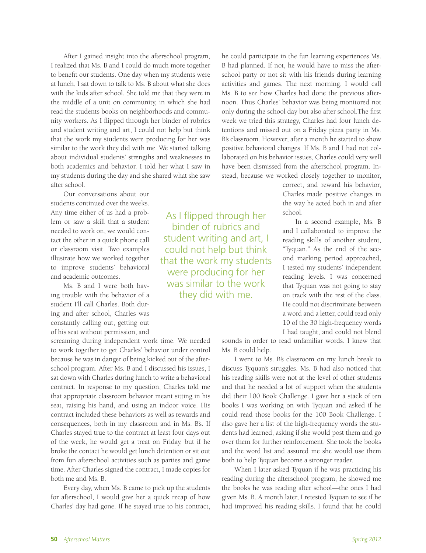After I gained insight into the afterschool program, I realized that Ms. B and I could do much more together to benefit our students. One day when my students were at lunch, I sat down to talk to Ms. B about what she does with the kids after school. She told me that they were in the middle of a unit on community, in which she had read the students books on neighborhoods and community workers. As I flipped through her binder of rubrics and student writing and art, I could not help but think that the work my students were producing for her was similar to the work they did with me. We started talking about individual students' strengths and weaknesses in both academics and behavior. I told her what I saw in my students during the day and she shared what she saw after school.

Our conversations about our students continued over the weeks. Any time either of us had a problem or saw a skill that a student needed to work on, we would contact the other in a quick phone call or classroom visit. Two examples illustrate how we worked together to improve students' behavioral and academic outcomes.

Ms. B and I were both having trouble with the behavior of a student I'll call Charles. Both during and after school, Charles was constantly calling out, getting out of his seat without permission, and

screaming during independent work time. We needed to work together to get Charles' behavior under control because he was in danger of being kicked out of the afterschool program. After Ms. B and I discussed his issues, I sat down with Charles during lunch to write a behavioral contract. In response to my question, Charles told me that appropriate classroom behavior meant sitting in his seat, raising his hand, and using an indoor voice. His contract included these behaviors as well as rewards and consequences, both in my classroom and in Ms. B's. If Charles stayed true to the contract at least four days out of the week, he would get a treat on Friday, but if he broke the contact he would get lunch detention or sit out from fun afterschool activities such as parties and game time. After Charles signed the contract, I made copies for both me and Ms. B.

Every day, when Ms. B came to pick up the students for afterschool, I would give her a quick recap of how Charles' day had gone. If he stayed true to his contract,

As I flipped through her binder of rubrics and student writing and art, I could not help but think that the work my students were producing for her was similar to the work they did with me.

he could participate in the fun learning experiences Ms. B had planned. If not, he would have to miss the afterschool party or not sit with his friends during learning activities and games. The next morning, I would call Ms. B to see how Charles had done the previous afternoon. Thus Charles' behavior was being monitored not only during the school day but also after school.The first week we tried this strategy, Charles had four lunch detentions and missed out on a Friday pizza party in Ms. B's classroom. However, after a month he started to show positive behavioral changes. If Ms. B and I had not collaborated on his behavior issues, Charles could very well have been dismissed from the afterschool program. Instead, because we worked closely together to monitor,

> correct, and reward his behavior, Charles made positive changes in the way he acted both in and after school.

> In a second example, Ms. B and I collaborated to improve the reading skills of another student, "Tyquan." As the end of the second marking period approached, I tested my students' independent reading levels. I was concerned that Tyquan was not going to stay on track with the rest of the class. He could not discriminate between a word and a letter, could read only 10 of the 30 high-frequency words I had taught, and could not blend

sounds in order to read unfamiliar words. I knew that Ms. B could help.

I went to Ms. B's classroom on my lunch break to discuss Tyquan's struggles. Ms. B had also noticed that his reading skills were not at the level of other students and that he needed a lot of support when the students did their 100 Book Challenge. I gave her a stack of ten books I was working on with Tyquan and asked if he could read those books for the 100 Book Challenge. I also gave her a list of the high-frequency words the students had learned, asking if she would post them and go over them for further reinforcement. She took the books and the word list and assured me she would use them both to help Tyquan become a stronger reader.

When I later asked Tyquan if he was practicing his reading during the afterschool program, he showed me the books he was reading after school—the ones I had given Ms. B. A month later, I retested Tyquan to see if he had improved his reading skills. I found that he could